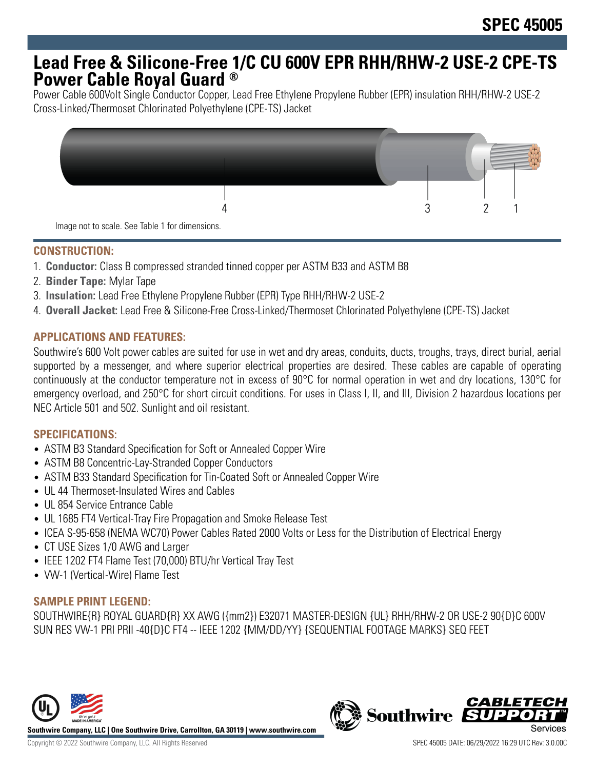# **Lead Free & Silicone-Free 1/C CU 600V EPR RHH/RHW-2 USE-2 CPE-TS Power Cable Royal Guard ®**

Power Cable 600Volt Single Conductor Copper, Lead Free Ethylene Propylene Rubber (EPR) insulation RHH/RHW-2 USE-2 Cross-Linked/Thermoset Chlorinated Polyethylene (CPE-TS) Jacket



## **CONSTRUCTION:**

- 1. **Conductor:** Class B compressed stranded tinned copper per ASTM B33 and ASTM B8
- 2. **Binder Tape:** Mylar Tape
- 3. **Insulation:** Lead Free Ethylene Propylene Rubber (EPR) Type RHH/RHW-2 USE-2
- 4. **Overall Jacket:** Lead Free & Silicone-Free Cross-Linked/Thermoset Chlorinated Polyethylene (CPE-TS) Jacket

## **APPLICATIONS AND FEATURES:**

Southwire's 600 Volt power cables are suited for use in wet and dry areas, conduits, ducts, troughs, trays, direct burial, aerial supported by a messenger, and where superior electrical properties are desired. These cables are capable of operating continuously at the conductor temperature not in excess of 90°C for normal operation in wet and dry locations, 130°C for emergency overload, and 250°C for short circuit conditions. For uses in Class I, II, and III, Division 2 hazardous locations per NEC Article 501 and 502. Sunlight and oil resistant.

### **SPECIFICATIONS:**

- ASTM B3 Standard Specification for Soft or Annealed Copper Wire
- ASTM B8 Concentric-Lay-Stranded Copper Conductors
- ASTM B33 Standard Specification for Tin-Coated Soft or Annealed Copper Wire
- UL 44 Thermoset-Insulated Wires and Cables
- UL 854 Service Entrance Cable
- UL 1685 FT4 Vertical-Tray Fire Propagation and Smoke Release Test
- ICEA S-95-658 (NEMA WC70) Power Cables Rated 2000 Volts or Less for the Distribution of Electrical Energy
- CT USE Sizes 1/0 AWG and Larger
- IEEE 1202 FT4 Flame Test (70,000) BTU/hr Vertical Tray Test
- VW-1 (Vertical-Wire) Flame Test

### **SAMPLE PRINT LEGEND:**

SOUTHWIRE{R} ROYAL GUARD{R} XX AWG ({mm2}) E32071 MASTER-DESIGN {UL} RHH/RHW-2 OR USE-2 90{D}C 600V SUN RES VW-1 PRI PRII -40{D}C FT4 -- IEEE 1202 {MM/DD/YY} {SEQUENTIAL FOOTAGE MARKS} SEQ FEET



**Southwire Company, LLC | One Southwire Drive, Carrollton, GA 30119 | www.southwire.com**

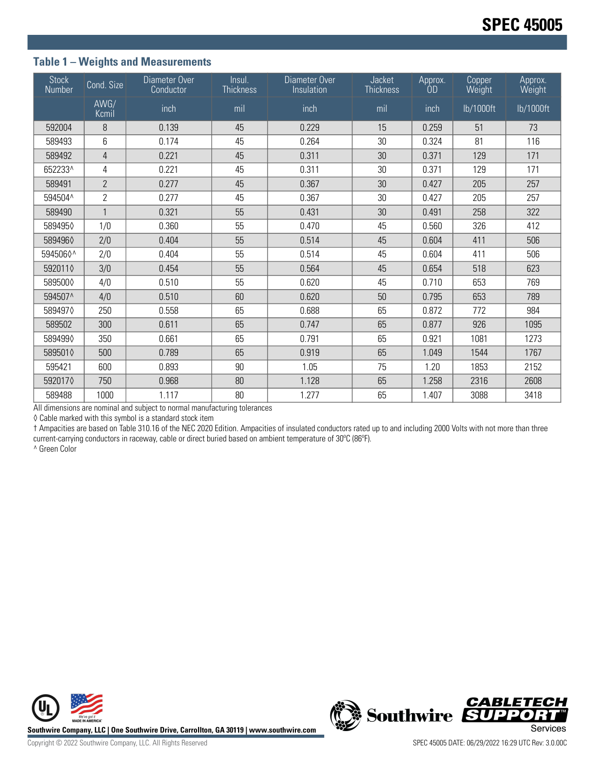## **Table 1 – Weights and Measurements**

| <b>Stock</b><br>Number | Cond. Size     | Diameter Over<br>Conductor | Insul.<br><b>Thickness</b> | Diameter Over<br>Insulation | Jacket<br><b>Thickness</b> | Approx.<br><b>OD</b> | Copper<br>Weight | Approx.<br>Weight |
|------------------------|----------------|----------------------------|----------------------------|-----------------------------|----------------------------|----------------------|------------------|-------------------|
|                        | AWG/<br>Kcmil  | inch                       | mil                        | inch                        | mil                        | inch                 | lb/1000ft        | lb/1000ft         |
| 592004                 | 8              | 0.139                      | 45                         | 0.229                       | 15                         | 0.259                | 51               | 73                |
| 589493                 | 6              | 0.174                      | 45                         | 0.264                       | 30                         | 0.324                | 81               | 116               |
| 589492                 | 4              | 0.221                      | 45                         | 0.311                       | 30                         | 0.371                | 129              | 171               |
| 652233^                | 4              | 0.221                      | 45                         | 0.311                       | 30                         | 0.371                | 129              | 171               |
| 589491                 | $\overline{2}$ | 0.277                      | 45                         | 0.367                       | 30                         | 0.427                | 205              | 257               |
| 594504^                | $\overline{2}$ | 0.277                      | 45                         | 0.367                       | 30                         | 0.427                | 205              | 257               |
| 589490                 | $\mathbf{1}$   | 0.321                      | 55                         | 0.431                       | 30                         | 0.491                | 258              | 322               |
| 5894950                | 1/0            | 0.360                      | 55                         | 0.470                       | 45                         | 0.560                | 326              | 412               |
| 5894960                | 2/0            | 0.404                      | 55                         | 0.514                       | 45                         | 0.604                | 411              | 506               |
| 5945060^               | 2/0            | 0.404                      | 55                         | 0.514                       | 45                         | 0.604                | 411              | 506               |
| 5920110                | 3/0            | 0.454                      | 55                         | 0.564                       | 45                         | 0.654                | 518              | 623               |
| 589500♦                | 4/0            | 0.510                      | 55                         | 0.620                       | 45                         | 0.710                | 653              | 769               |
| 594507^                | 4/0            | 0.510                      | 60                         | 0.620                       | 50                         | 0.795                | 653              | 789               |
| 5894970                | 250            | 0.558                      | 65                         | 0.688                       | 65                         | 0.872                | 772              | 984               |
| 589502                 | 300            | 0.611                      | 65                         | 0.747                       | 65                         | 0.877                | 926              | 1095              |
| 5894990                | 350            | 0.661                      | 65                         | 0.791                       | 65                         | 0.921                | 1081             | 1273              |
| 5895010                | 500            | 0.789                      | 65                         | 0.919                       | 65                         | 1.049                | 1544             | 1767              |
| 595421                 | 600            | 0.893                      | 90                         | 1.05                        | 75                         | 1.20                 | 1853             | 2152              |
| 5920170                | 750            | 0.968                      | 80                         | 1.128                       | 65                         | 1.258                | 2316             | 2608              |
| 589488                 | 1000           | 1.117                      | 80                         | 1.277                       | 65                         | 1.407                | 3088             | 3418              |

All dimensions are nominal and subject to normal manufacturing tolerances

◊ Cable marked with this symbol is a standard stock item

† Ampacities are based on Table 310.16 of the NEC 2020 Edition. Ampacities of insulated conductors rated up to and including 2000 Volts with not more than three current-carrying conductors in raceway, cable or direct buried based on ambient temperature of 30ºC (86ºF).

^ Green Color